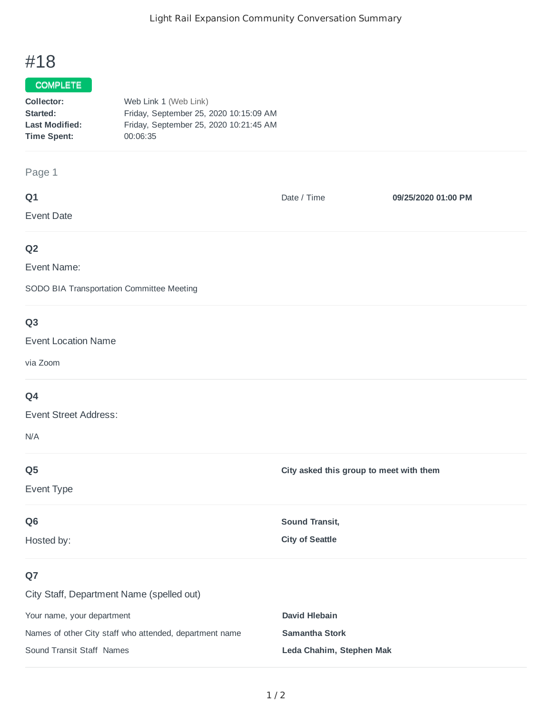# #18

## COMPLETE

| Collector:            | Web Link 1 (Web Link)                  |
|-----------------------|----------------------------------------|
| Started:              | Friday, September 25, 2020 10:15:09 AM |
| <b>Last Modified:</b> | Friday, September 25, 2020 10:21:45 AM |
| <b>Time Spent:</b>    | 00:06:35                               |

## Page 1

| Q1             | Date / Time | 09/25/2020 01:00 PM |
|----------------|-------------|---------------------|
| Event Date     |             |                     |
| Q <sub>2</sub> |             |                     |

Event Name:

SODO BIA Transportation Committee Meeting

# **Q3**

#### Event Location Name

via Zoom

## **Q4**

Event Street Address:

N/A

| Q <sub>5</sub><br>Event Type                                                  | City asked this group to meet with them         |
|-------------------------------------------------------------------------------|-------------------------------------------------|
| Q <sub>6</sub><br>Hosted by:                                                  | <b>Sound Transit,</b><br><b>City of Seattle</b> |
| Q7<br>City Staff, Department Name (spelled out)<br>Your name, your department | David Hlebain                                   |

Names of other City staff who attended, department name **Samantha Stork** Sound Transit Staff Names **Leda Chahim, Stephen Mak**